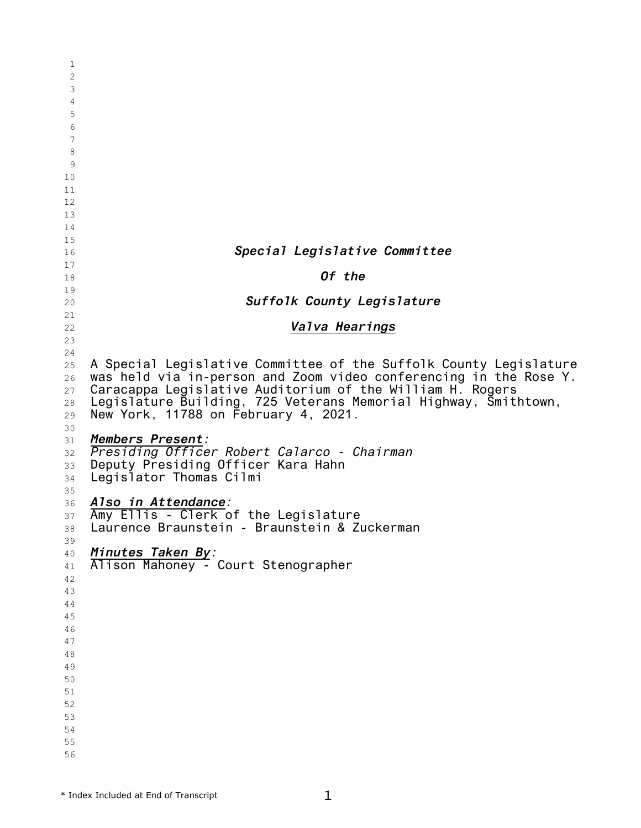| 1              |                                                                   |
|----------------|-------------------------------------------------------------------|
| $\overline{2}$ |                                                                   |
| 3              |                                                                   |
| 4              |                                                                   |
| 5              |                                                                   |
| 6              |                                                                   |
| 7              |                                                                   |
| 8              |                                                                   |
| 9              |                                                                   |
| 10             |                                                                   |
| 11             |                                                                   |
| 12             |                                                                   |
| 13             |                                                                   |
| 14             |                                                                   |
| 15             |                                                                   |
| 16             | Special Legislative Committee                                     |
| 17             |                                                                   |
| 18             | Of the                                                            |
| 19             |                                                                   |
| 20             | Suffolk County Legislature                                        |
| 21             |                                                                   |
| 22             | Valva Hearings                                                    |
| 23             |                                                                   |
| 24             |                                                                   |
| 25             | A Special Legislative Committee of the Suffolk County Legislature |
| 26             | was held via in-person and Zoom video conferencing in the Rose Y. |
| 27             | Caracappa Legislative Auditorium of the William H. Rogers         |
| 28             | Legislature Building, 725 Veterans Memorial Highway, Smithtown,   |
| 29             | New York, 11788 on February 4, 2021.                              |
| 30             |                                                                   |
| 31             | Members Present:                                                  |
| 32             | Presiding Officer Robert Calarco - Chairman                       |
| 33             | Deputy Presiding Officer Kara Hahn                                |
| 34             | Legislator Thomas Cilmi                                           |
| 35             |                                                                   |
| 36             | Also in Attendance:                                               |
| 37             | Amy Ellis - Clerk of the Legislature                              |
| 38             | Laurence Braunstein - Braunstein & Zuckerman                      |
| 39             |                                                                   |
| 40             | Minutes Taken By:<br>Alison Mahoney - Court Stenographer          |
| 41             |                                                                   |
| 42             |                                                                   |
| 43             |                                                                   |
| 44             |                                                                   |
| 45             |                                                                   |
| 46             |                                                                   |
| 47             |                                                                   |
| 48             |                                                                   |
| 49             |                                                                   |
| 50             |                                                                   |
| 51             |                                                                   |
| 52             |                                                                   |
| 53             |                                                                   |
| 54             |                                                                   |
| 55             |                                                                   |
| 56             |                                                                   |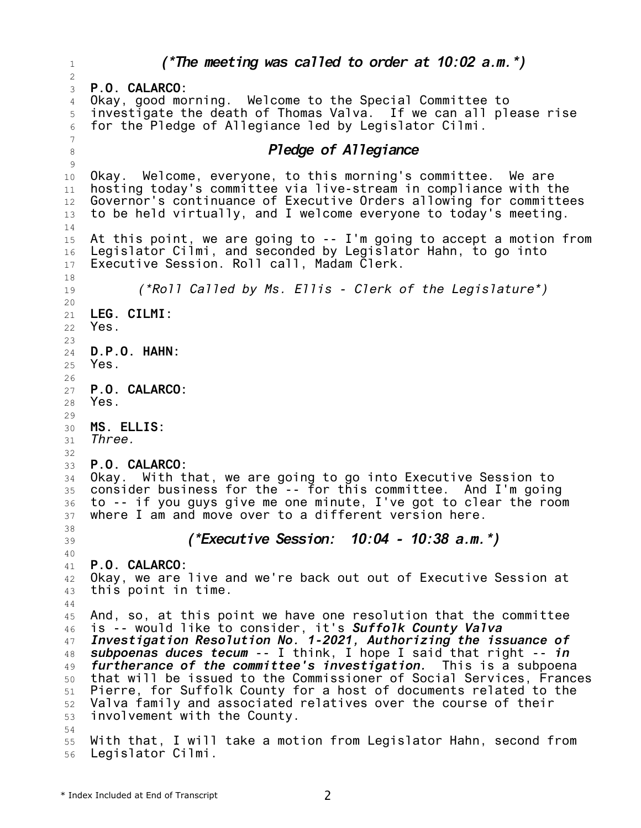1 2 3 4 5 6 7 8 9 10 11 12 13 14 15 16 17 18 19 20 21 22 23 24 25 26 27 28 29 30 31 32 33 34 35 36 37 38 39 40 41 42 43 44 45 46 47 48 49 50 51 52 53 54 55 56 *(\*The meeting was called to order at 10:02 a.m.\*)* **P.O. CALARCO:** Okay, good morning. Welcome to the Special Committee to investigate the death of Thomas Valva. If we can all please rise for the Pledge of Allegiance led by Legislator Cilmi. *Pledge of Allegiance* Okay. Welcome, everyone, to this morning's committee. We are hosting today's committee via live-stream in compliance with the Governor's continuance of Executive Orders allowing for committees to be held virtually, and I welcome everyone to today's meeting. At this point, we are going to -- I'm going to accept a motion from Legislator Cilmi, and seconded by Legislator Hahn, to go into Executive Session. Roll call, Madam Clerk. *(\*Roll Called by Ms. Ellis - Clerk of the Legislature\*)* **LEG. CILMI:** Yes. **D.P.O. HAHN:** Yes. **P.O. CALARCO:** Yes. **MS. ELLIS:** *Three.* **P.O. CALARCO:** Okay. With that, we are going to go into Executive Session to consider business for the -- for this committee. And I'm going to -- if you guys give me one minute, I've got to clear the room where I am and move over to a different version here. *(\*Executive Session: 10:04 - 10:38 a.m.\*)* **P.O. CALARCO:** Okay, we are live and we're back out out of Executive Session at this point in time. And, so, at this point we have one resolution that the committee is -- would like to consider, it's *Suffolk County Valva Investigation Resolution No. 1-2021, Authorizing the issuance of subpoenas duces tecum* -- I think, I hope I said that right -- *in furtherance of the committee's investigation.* This is a subpoena that will be issued to the Commissioner of Social Services, Frances Pierre, for Suffolk County for a host of documents related to the Valva family and associated relatives over the course of their involvement with the County. With that, I will take a motion from Legislator Hahn, second from Legislator Cilmi.